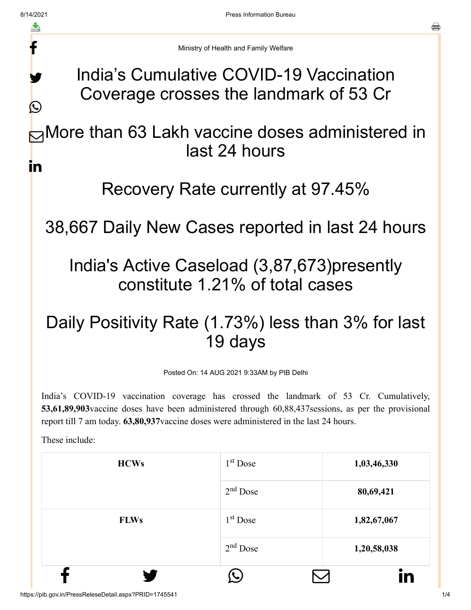f

y.

 $\bigcirc$ 

a

Ministry of Health and Family Welfare

India's Cumulative COVID-19 Vaccination Coverage crosses the landmark of 53 Cr

**⊠More than 63 Lakh vaccine doses administered in** last 24 hours in

## Recovery Rate currently at 97.45%

38,667 Daily New Cases reported in last 24 hours

## India's Active Caseload (3,87,673)presently constitute 1.21% of total cases

## Daily Positivity Rate (1.73%) less than 3% for last 19 days

Posted On: 14 AUG 2021 9:33AM by PIB Delhi

India's COVID-19 vaccination coverage has crossed the landmark of 53 Cr. Cumulatively, **53,61,89,903**vaccine doses have been administered through 60,88,437sessions, as per the provisional report till 7 am today. **63,80,937**vaccine doses were administered in the last 24 hours.

These include:

| <b>HCWs</b> | 1 <sup>st</sup> Dose | 1,03,46,330 |
|-------------|----------------------|-------------|
|             | $2nd$ Dose           | 80,69,421   |
| <b>FLWs</b> | $1st$ Dose           | 1,82,67,067 |
|             | $2nd$ Dose           | 1,20,58,038 |
|             |                      |             |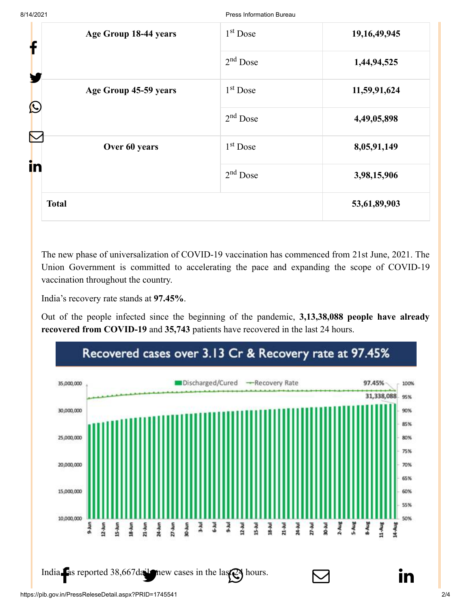| Age Group 18-44 years<br>f          | 1 <sup>st</sup> Dose | 19, 16, 49, 945 |
|-------------------------------------|----------------------|-----------------|
| Y                                   | $2nd$ Dose           | 1,44,94,525     |
| Age Group 45-59 years<br>$\bigcirc$ | $1st$ Dose           | 11,59,91,624    |
|                                     | $2nd$ Dose           | 4,49,05,898     |
| Over 60 years                       | $1st$ Dose           | 8,05,91,149     |
| in                                  | $2nd$ Dose           | 3,98,15,906     |
| <b>Total</b>                        |                      | 53,61,89,903    |

The new phase of universalization of COVID-19 vaccination has commenced from 21st June, 2021. The Union Government is committed to accelerating the pace and expanding the scope of COVID-19 vaccination throughout the country.

India's recovery rate stands at **97.45%**.

Out of the people infected since the beginning of the pandemic, **3,13,38,088 people have already recovered from COVID-19** and **35,743** patients have recovered in the last 24 hours.

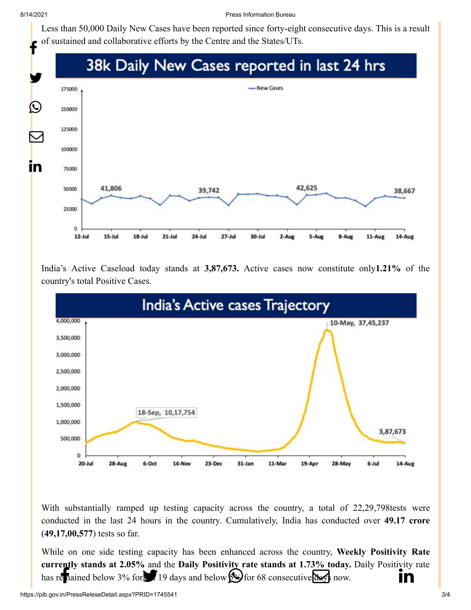8/14/2021 Press Information Bureau

[Less than 50,000](http://www.facebook.com/share.php?u=https://pib.gov.in/PressReleasePage.aspx?PRID=1745676) [Daily New Cases have](https://twitter.com/intent/tweet?url=https://pib.gov.in/PressReleasePage.aspx?PRID=1745676&text=India%E2%80%99s%20Cumulative%20COVID-19%20Vaccination%20Coverage%20crosses%20the%20landmark%20of%2053%20Cr) [been reported since fort](https://api.whatsapp.com/send?text=https://pib.gov.in/PressReleasePage.aspx?PRID=1745676)y-eight [consecutive da](https://mail.google.com/mail/?view=cm&fs=1&tf=1&to=&su=India%E2%80%99s%20Cumulative%20COVID-19%20Vaccination%20Coverage%20crosses%20the%20landmark%20of%2053%20Cr&body=https://pib.gov.in/PressReleasePage.aspx?PRID=1745676&ui=2&tf=1&pli=1)[ys. This is a result](https://www.linkedin.com/shareArticle?mini=true&url=https://pib.gov.in/PressReleasePage.aspx?PRID=1745676&title=India%E2%80%99s%20Cumulative%20COVID-19%20Vaccination%20Coverage%20crosses%20the%20landmark%20of%2053%20Cr&summary=My%20favorite%20developer%20program&source=LinkedIn) of sustained and collaborative efforts by the Centre and the States/UTs.

## f 38k Daily New Cases reported in last 24 hrs y. New Cases 175000  $\bigcirc$ 150000 125000  $\bm{\nabla}$ 100000 <u>in</u> 75000 41,806 42,625 50000 39,742 38,667 25000  $\alpha$  $12 -$ Jul  $15$ -Jul  $18 -$ Jul  $21$ -Jul 24-Jul  $27 -$ Jul  $30 -$ Jul  $2 - A$ ug 5-Aug 8-Aug 11-Aug 14-Aug

India's Active Caseload today stands at **3,87,673.** Active cases now constitute only**1.21%** of the country's total Positive Cases.



With substantially ramped up testing capacity across the country, a total of 22,29,798tests were conducted in the last 24 hours in the country. Cumulatively, India has conducted over **49.17 crore** (**49,17,00,577**) tests so far.

While on one side testing capacity has been enhanced across the country, **Weekly Positivity Rate [currently stands](http://www.facebook.com/share.php?u=https://pib.gov.in/PressReleasePage.aspx?PRID=1745676) at 2.05%** and the **Dai[ly Positivity rate stan](https://api.whatsapp.com/send?text=https://pib.gov.in/PressReleasePage.aspx?PRID=1745676)[ds at 1.73% today.](https://mail.google.com/mail/?view=cm&fs=1&tf=1&to=&su=India%E2%80%99s%20Cumulative%20COVID-19%20Vaccination%20Coverage%20crosses%20the%20landmark%20of%2053%20Cr&body=https://pib.gov.in/PressReleasePage.aspx?PRID=1745676&ui=2&tf=1&pli=1)** D[aily Positivity rate](https://www.linkedin.com/shareArticle?mini=true&url=https://pib.gov.in/PressReleasePage.aspx?PRID=1745676&title=India%E2%80%99s%20Cumulative%20COVID-19%20Vaccination%20Coverage%20crosses%20the%20landmark%20of%2053%20Cr&summary=My%20favorite%20developer%20program&source=LinkedIn) has remained below 3% for 19 days and below  $\frac{1}{2}$  for 68 consecutive days now.